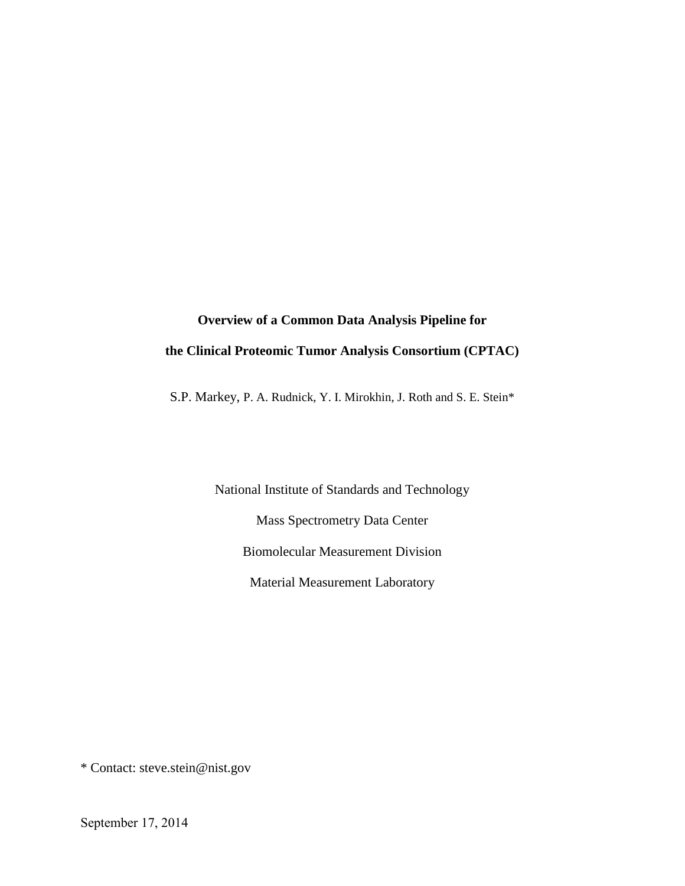# **Overview of a Common Data Analysis Pipeline for the Clinical Proteomic Tumor Analysis Consortium (CPTAC)**

S.P. Markey, P. A. Rudnick, Y. I. Mirokhin, J. Roth and S. E. Stein\*

National Institute of Standards and Technology Mass Spectrometry Data Center Biomolecular Measurement Division Material Measurement Laboratory

\* Contact: steve.stein@nist.gov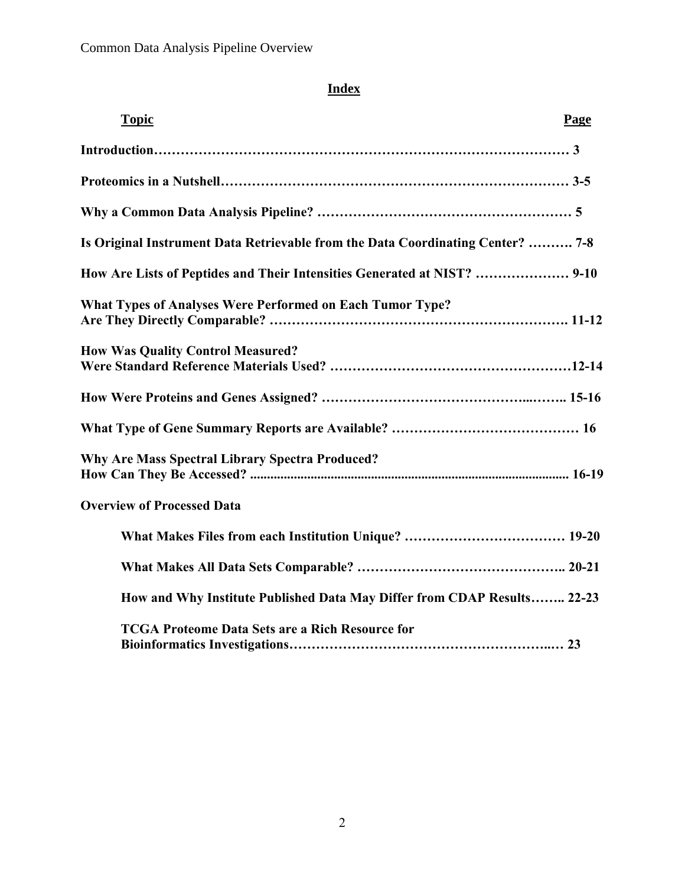# **Index**

| <b>Topic</b>                                                                    | Page |
|---------------------------------------------------------------------------------|------|
|                                                                                 |      |
|                                                                                 |      |
|                                                                                 |      |
| Is Original Instrument Data Retrievable from the Data Coordinating Center?  7-8 |      |
| How Are Lists of Peptides and Their Intensities Generated at NIST?  9-10        |      |
| What Types of Analyses Were Performed on Each Tumor Type?                       |      |
| <b>How Was Quality Control Measured?</b>                                        |      |
|                                                                                 |      |
|                                                                                 |      |
| <b>Why Are Mass Spectral Library Spectra Produced?</b>                          |      |
| <b>Overview of Processed Data</b>                                               |      |
|                                                                                 |      |
|                                                                                 |      |
| How and Why Institute Published Data May Differ from CDAP Results 22-23         |      |
| <b>TCGA Proteome Data Sets are a Rich Resource for</b>                          |      |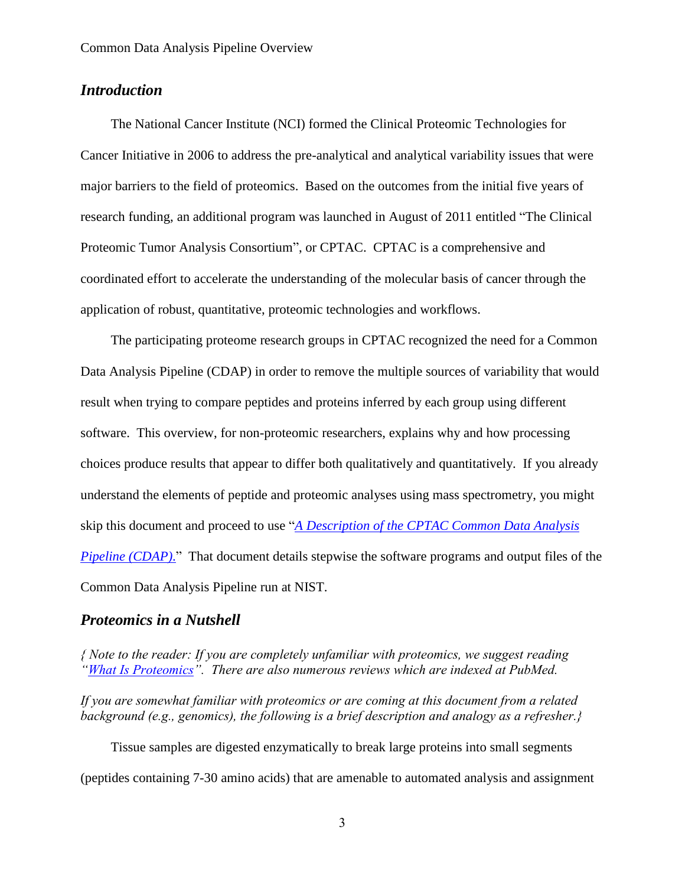# *Introduction*

The National Cancer Institute (NCI) formed the Clinical Proteomic Technologies for Cancer Initiative in 2006 to address the pre-analytical and analytical variability issues that were major barriers to the field of proteomics. Based on the outcomes from the initial five years of research funding, an additional program was launched in August of 2011 entitled "The Clinical Proteomic Tumor Analysis Consortium", or CPTAC. CPTAC is a comprehensive and coordinated effort to accelerate the understanding of the molecular basis of cancer through the application of robust, quantitative, proteomic technologies and workflows.

The participating proteome research groups in CPTAC recognized the need for a Common Data Analysis Pipeline (CDAP) in order to remove the multiple sources of variability that would result when trying to compare peptides and proteins inferred by each group using different software. This overview, for non-proteomic researchers, explains why and how processing choices produce results that appear to differ both qualitatively and quantitatively. If you already understand the elements of peptide and proteomic analyses using mass spectrometry, you might skip this document and proceed to use "*[A Description of the CPTAC Common Data Analysis](https://cptac-data-portal.georgetown.edu/cptac/aboutData/show?scope=about)  [Pipeline \(CDAP\)](https://cptac-data-portal.georgetown.edu/cptac/aboutData/show?scope=about)*." That document details stepwise the software programs and output files of the Common Data Analysis Pipeline run at NIST.

## *Proteomics in a Nutshell*

*{ Note to the reader: If you are completely unfamiliar with proteomics, we suggest reading "[What Is Proteomics](http://proteomics.cancer.gov/whatisproteomics)". There are also numerous reviews which are indexed at PubMed.*

*If you are somewhat familiar with proteomics or are coming at this document from a related background (e.g., genomics), the following is a brief description and analogy as a refresher.}*

Tissue samples are digested enzymatically to break large proteins into small segments (peptides containing 7-30 amino acids) that are amenable to automated analysis and assignment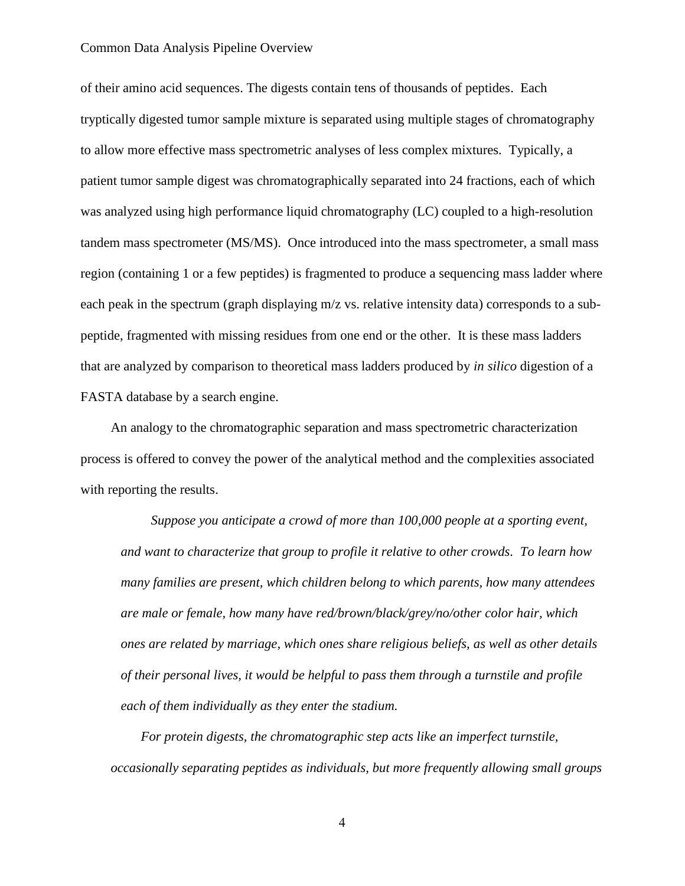of their amino acid sequences. The digests contain tens of thousands of peptides. Each tryptically digested tumor sample mixture is separated using multiple stages of chromatography to allow more effective mass spectrometric analyses of less complex mixtures. Typically, a patient tumor sample digest was chromatographically separated into 24 fractions, each of which was analyzed using high performance liquid chromatography (LC) coupled to a high-resolution tandem mass spectrometer (MS/MS). Once introduced into the mass spectrometer, a small mass region (containing 1 or a few peptides) is fragmented to produce a sequencing mass ladder where each peak in the spectrum (graph displaying m/z vs. relative intensity data) corresponds to a subpeptide, fragmented with missing residues from one end or the other. It is these mass ladders that are analyzed by comparison to theoretical mass ladders produced by *in silico* digestion of a FASTA database by a search engine.

An analogy to the chromatographic separation and mass spectrometric characterization process is offered to convey the power of the analytical method and the complexities associated with reporting the results.

*Suppose you anticipate a crowd of more than 100,000 people at a sporting event, and want to characterize that group to profile it relative to other crowds. To learn how many families are present, which children belong to which parents, how many attendees are male or female, how many have red/brown/black/grey/no/other color hair, which ones are related by marriage, which ones share religious beliefs, as well as other details of their personal lives, it would be helpful to pass them through a turnstile and profile each of them individually as they enter the stadium.* 

*For protein digests, the chromatographic step acts like an imperfect turnstile, occasionally separating peptides as individuals, but more frequently allowing small groups*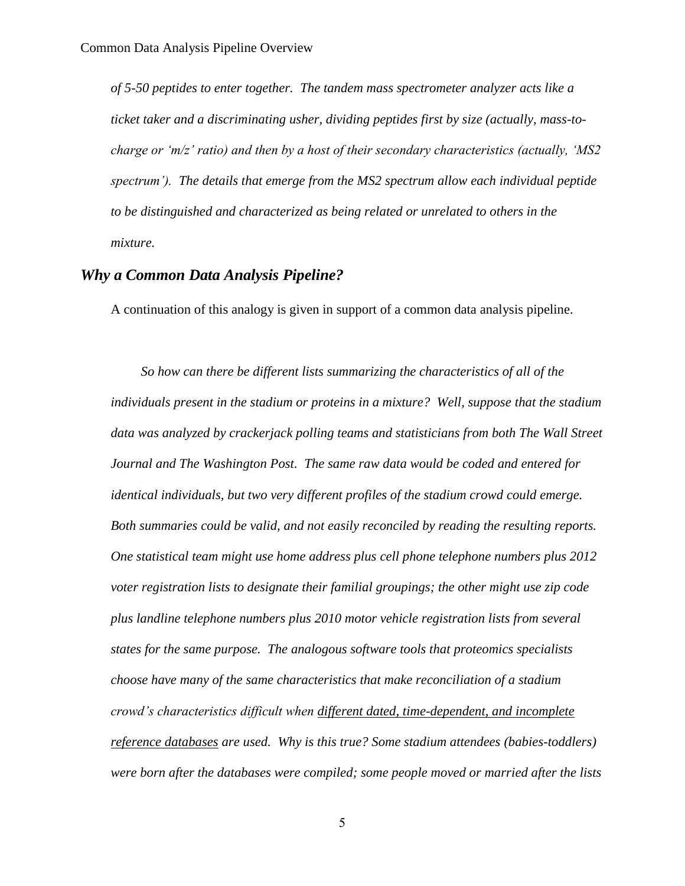*of 5-50 peptides to enter together. The tandem mass spectrometer analyzer acts like a ticket taker and a discriminating usher, dividing peptides first by size (actually, mass-tocharge or 'm/z' ratio) and then by a host of their secondary characteristics (actually, 'MS2 spectrum'). The details that emerge from the MS2 spectrum allow each individual peptide to be distinguished and characterized as being related or unrelated to others in the mixture.* 

# *Why a Common Data Analysis Pipeline?*

A continuation of this analogy is given in support of a common data analysis pipeline.

*So how can there be different lists summarizing the characteristics of all of the individuals present in the stadium or proteins in a mixture? Well, suppose that the stadium data was analyzed by crackerjack polling teams and statisticians from both The Wall Street Journal and The Washington Post. The same raw data would be coded and entered for identical individuals, but two very different profiles of the stadium crowd could emerge. Both summaries could be valid, and not easily reconciled by reading the resulting reports. One statistical team might use home address plus cell phone telephone numbers plus 2012 voter registration lists to designate their familial groupings; the other might use zip code plus landline telephone numbers plus 2010 motor vehicle registration lists from several states for the same purpose. The analogous software tools that proteomics specialists choose have many of the same characteristics that make reconciliation of a stadium crowd's characteristics difficult when different dated, time-dependent, and incomplete reference databases are used. Why is this true? Some stadium attendees (babies-toddlers) were born after the databases were compiled; some people moved or married after the lists*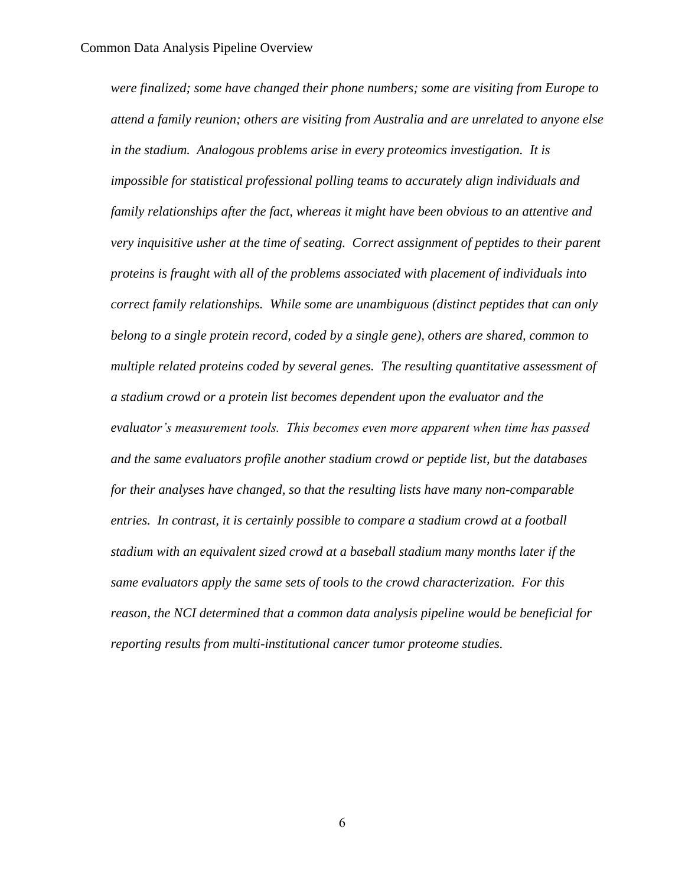*were finalized; some have changed their phone numbers; some are visiting from Europe to attend a family reunion; others are visiting from Australia and are unrelated to anyone else in the stadium. Analogous problems arise in every proteomics investigation. It is impossible for statistical professional polling teams to accurately align individuals and family relationships after the fact, whereas it might have been obvious to an attentive and very inquisitive usher at the time of seating. Correct assignment of peptides to their parent proteins is fraught with all of the problems associated with placement of individuals into correct family relationships. While some are unambiguous (distinct peptides that can only belong to a single protein record, coded by a single gene), others are shared, common to multiple related proteins coded by several genes. The resulting quantitative assessment of a stadium crowd or a protein list becomes dependent upon the evaluator and the evaluator's measurement tools. This becomes even more apparent when time has passed and the same evaluators profile another stadium crowd or peptide list, but the databases for their analyses have changed, so that the resulting lists have many non-comparable entries. In contrast, it is certainly possible to compare a stadium crowd at a football stadium with an equivalent sized crowd at a baseball stadium many months later if the same evaluators apply the same sets of tools to the crowd characterization. For this reason, the NCI determined that a common data analysis pipeline would be beneficial for reporting results from multi-institutional cancer tumor proteome studies.*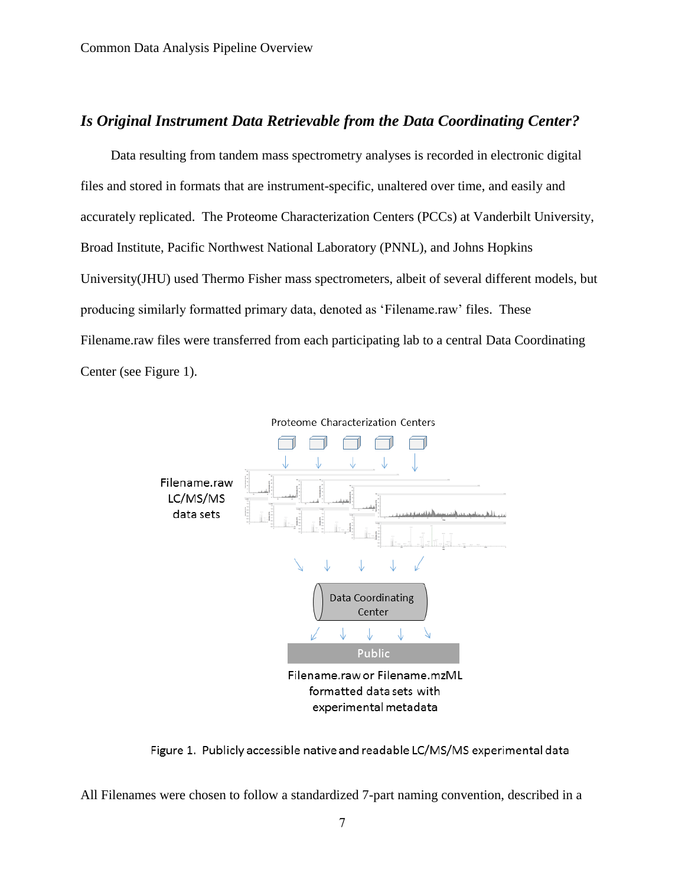# *Is Original Instrument Data Retrievable from the Data Coordinating Center?*

Data resulting from tandem mass spectrometry analyses is recorded in electronic digital files and stored in formats that are instrument-specific, unaltered over time, and easily and accurately replicated. The Proteome Characterization Centers (PCCs) at Vanderbilt University, Broad Institute, Pacific Northwest National Laboratory (PNNL), and Johns Hopkins University(JHU) used Thermo Fisher mass spectrometers, albeit of several different models, but producing similarly formatted primary data, denoted as 'Filename.raw' files. These Filename.raw files were transferred from each participating lab to a central Data Coordinating Center (see Figure 1).



Figure 1. Publicly accessible native and readable LC/MS/MS experimental data

All Filenames were chosen to follow a standardized 7-part naming convention, described in a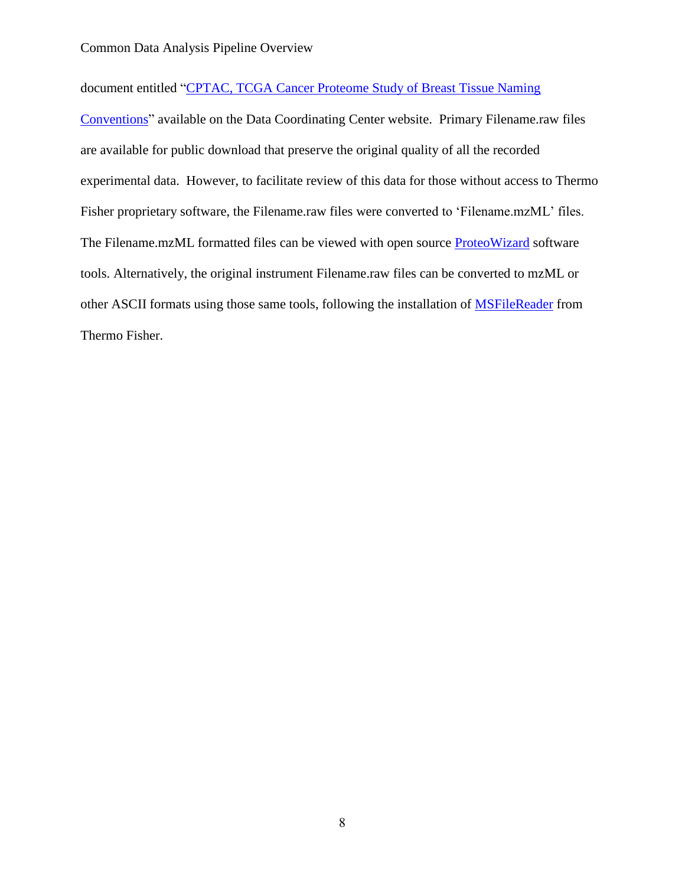document entitled ["CPTAC, TCGA Cancer Proteome Study of Breast Tissue Naming](https://cptac-data-portal.georgetown.edu/cptac/documents/CPTAC_TCGA_Breast_Cancer_Naming_Conventions.pdf) 

[Conventions"](https://cptac-data-portal.georgetown.edu/cptac/documents/CPTAC_TCGA_Breast_Cancer_Naming_Conventions.pdf) available on the Data Coordinating Center website. Primary Filename.raw files are available for public download that preserve the original quality of all the recorded experimental data. However, to facilitate review of this data for those without access to Thermo Fisher proprietary software, the Filename.raw files were converted to 'Filename.mzML' files. The Filename.mzML formatted files can be viewed with open source [ProteoWizard](http://proteowizard.sourceforge.net/) software tools. Alternatively, the original instrument Filename.raw files can be converted to mzML or other ASCII formats using those same tools, following the installation of **MSFileReader** from Thermo Fisher.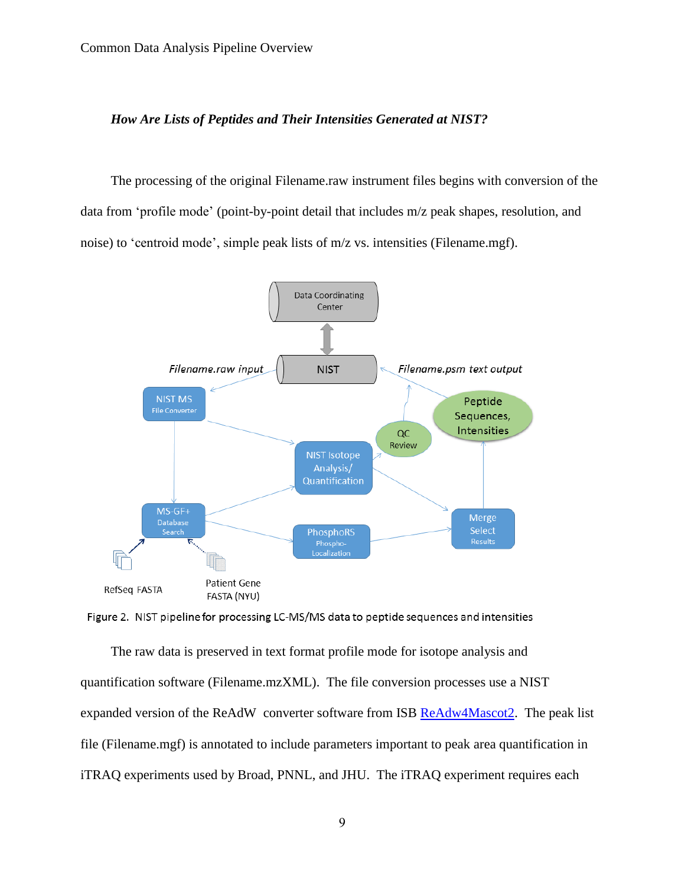### *How Are Lists of Peptides and Their Intensities Generated at NIST?*

The processing of the original Filename.raw instrument files begins with conversion of the data from 'profile mode' (point-by-point detail that includes m/z peak shapes, resolution, and noise) to 'centroid mode', simple peak lists of m/z vs. intensities (Filename.mgf).



Figure 2. NIST pipeline for processing LC-MS/MS data to peptide sequences and intensities

The raw data is preserved in text format profile mode for isotope analysis and quantification software (Filename.mzXML). The file conversion processes use a NIST expanded version of the ReAdW converter software from ISB [ReAdw4Mascot2.](http://chemdata.nist.gov/dokuwiki/doku.php?id=peptidew:pepsoftware) The peak list file (Filename.mgf) is annotated to include parameters important to peak area quantification in iTRAQ experiments used by Broad, PNNL, and JHU. The iTRAQ experiment requires each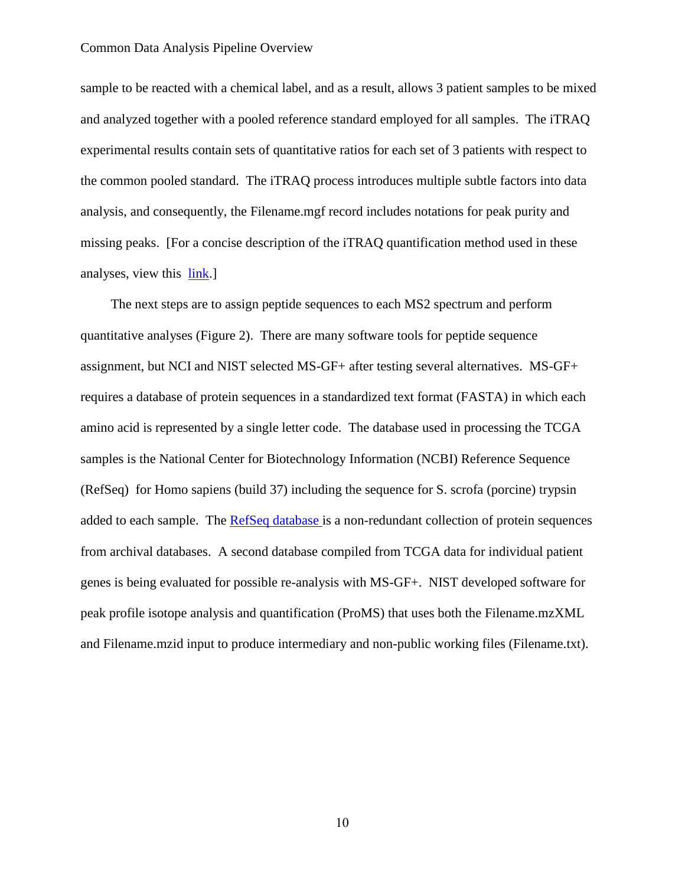sample to be reacted with a chemical label, and as a result, allows 3 patient samples to be mixed and analyzed together with a pooled reference standard employed for all samples. The iTRAQ experimental results contain sets of quantitative ratios for each set of 3 patients with respect to the common pooled standard. The iTRAQ process introduces multiple subtle factors into data analysis, and consequently, the Filename.mgf record includes notations for peak purity and missing peaks. [For a concise description of the iTRAQ quantification method used in these analyses, view this [link.](http://www.broadinstitute.org/scientific-community/science/platforms/proteomics/itraq)]

The next steps are to assign peptide sequences to each MS2 spectrum and perform quantitative analyses (Figure 2). There are many software tools for peptide sequence assignment, but NCI and NIST selected MS-GF+ after testing several alternatives. MS-GF+ requires a database of protein sequences in a standardized text format (FASTA) in which each amino acid is represented by a single letter code. The database used in processing the TCGA samples is the National Center for Biotechnology Information (NCBI) Reference Sequence (RefSeq) for Homo sapiens (build 37) including the sequence for S. scrofa (porcine) trypsin added to each sample. The [RefSeq database i](http://www.ncbi.nlm.nih.gov/refseq/)s a non-redundant collection of protein sequences from archival databases. A second database compiled from TCGA data for individual patient genes is being evaluated for possible re-analysis with MS-GF+. NIST developed software for peak profile isotope analysis and quantification (ProMS) that uses both the Filename.mzXML and Filename.mzid input to produce intermediary and non-public working files (Filename.txt).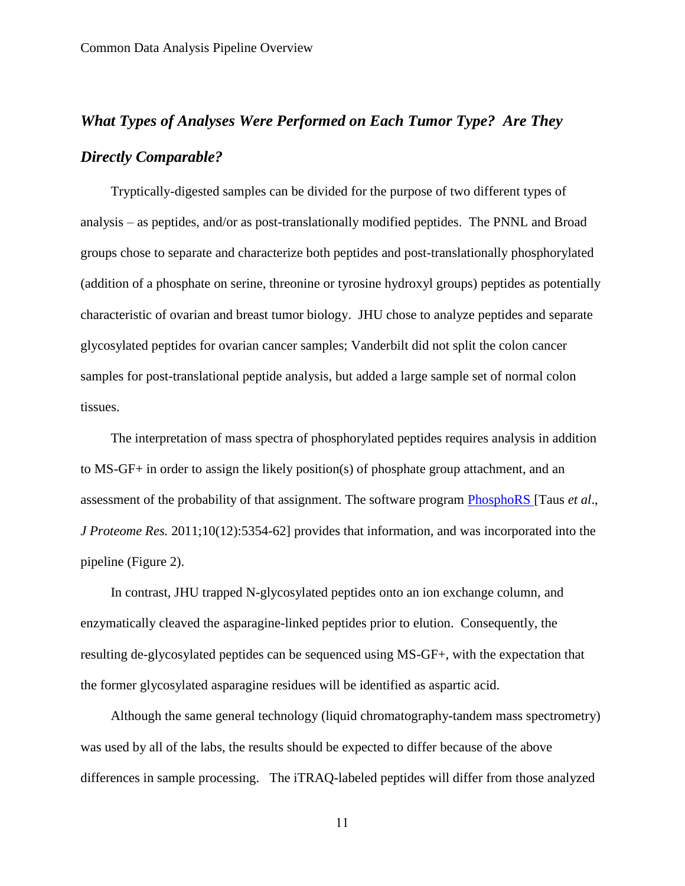# *What Types of Analyses Were Performed on Each Tumor Type? Are They Directly Comparable?*

Tryptically-digested samples can be divided for the purpose of two different types of analysis – as peptides, and/or as post-translationally modified peptides. The PNNL and Broad groups chose to separate and characterize both peptides and post-translationally phosphorylated (addition of a phosphate on serine, threonine or tyrosine hydroxyl groups) peptides as potentially characteristic of ovarian and breast tumor biology. JHU chose to analyze peptides and separate glycosylated peptides for ovarian cancer samples; Vanderbilt did not split the colon cancer samples for post-translational peptide analysis, but added a large sample set of normal colon tissues.

The interpretation of mass spectra of phosphorylated peptides requires analysis in addition to MS-GF+ in order to assign the likely position(s) of phosphate group attachment, and an assessment of the probability of that assignment. The software program [PhosphoRS \[](http://ms.imp.ac.at/?goto=phosphors)Taus *et al*., *J Proteome Res.* 2011;10(12):5354-62] provides that information, and was incorporated into the pipeline (Figure 2).

In contrast, JHU trapped N-glycosylated peptides onto an ion exchange column, and enzymatically cleaved the asparagine-linked peptides prior to elution. Consequently, the resulting de-glycosylated peptides can be sequenced using MS-GF+, with the expectation that the former glycosylated asparagine residues will be identified as aspartic acid.

Although the same general technology (liquid chromatography-tandem mass spectrometry) was used by all of the labs, the results should be expected to differ because of the above differences in sample processing. The iTRAQ-labeled peptides will differ from those analyzed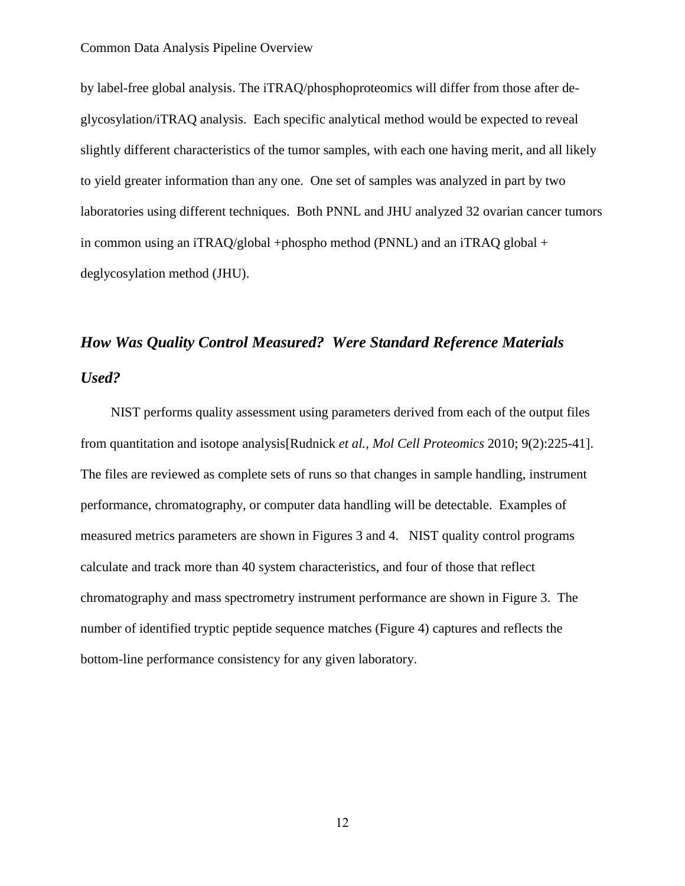by label-free global analysis. The iTRAQ/phosphoproteomics will differ from those after deglycosylation/iTRAQ analysis. Each specific analytical method would be expected to reveal slightly different characteristics of the tumor samples, with each one having merit, and all likely to yield greater information than any one. One set of samples was analyzed in part by two laboratories using different techniques. Both PNNL and JHU analyzed 32 ovarian cancer tumors in common using an iTRAQ/global +phospho method (PNNL) and an iTRAQ global + deglycosylation method (JHU).

# *How Was Quality Control Measured? Were Standard Reference Materials Used?*

NIST performs quality assessment using parameters derived from each of the output files from quantitation and isotope analysis[Rudnick *et al., Mol Cell Proteomics* 2010; 9(2):225-41]. The files are reviewed as complete sets of runs so that changes in sample handling, instrument performance, chromatography, or computer data handling will be detectable. Examples of measured metrics parameters are shown in Figures 3 and 4. NIST quality control programs calculate and track more than 40 system characteristics, and four of those that reflect chromatography and mass spectrometry instrument performance are shown in Figure 3. The number of identified tryptic peptide sequence matches (Figure 4) captures and reflects the bottom-line performance consistency for any given laboratory.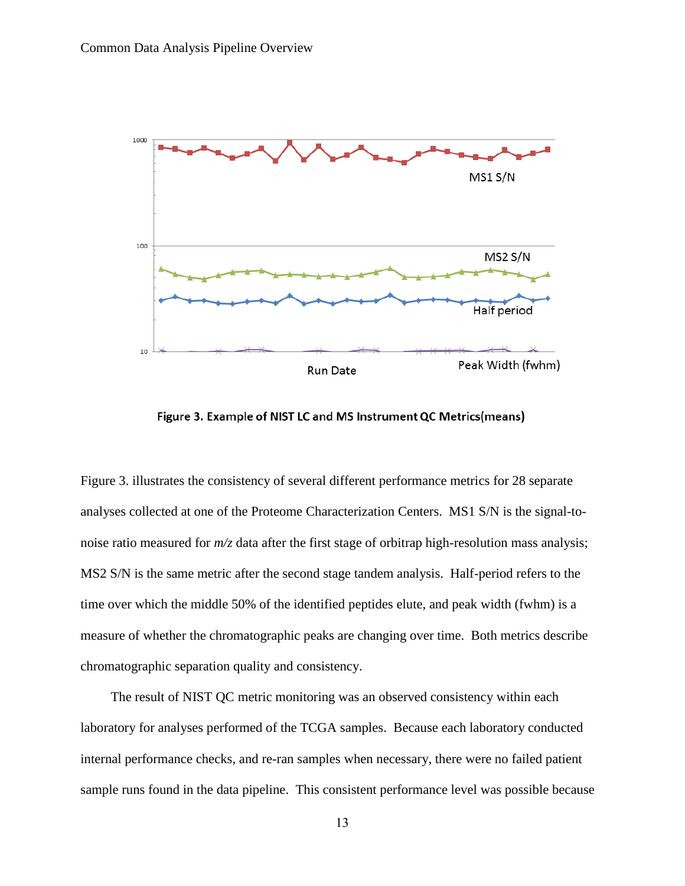

Figure 3. Example of NIST LC and MS Instrument QC Metrics(means)

Figure 3. illustrates the consistency of several different performance metrics for 28 separate analyses collected at one of the Proteome Characterization Centers. MS1 S/N is the signal-tonoise ratio measured for *m/z* data after the first stage of orbitrap high-resolution mass analysis; MS2 S/N is the same metric after the second stage tandem analysis. Half-period refers to the time over which the middle 50% of the identified peptides elute, and peak width (fwhm) is a measure of whether the chromatographic peaks are changing over time. Both metrics describe chromatographic separation quality and consistency.

The result of NIST QC metric monitoring was an observed consistency within each laboratory for analyses performed of the TCGA samples. Because each laboratory conducted internal performance checks, and re-ran samples when necessary, there were no failed patient sample runs found in the data pipeline. This consistent performance level was possible because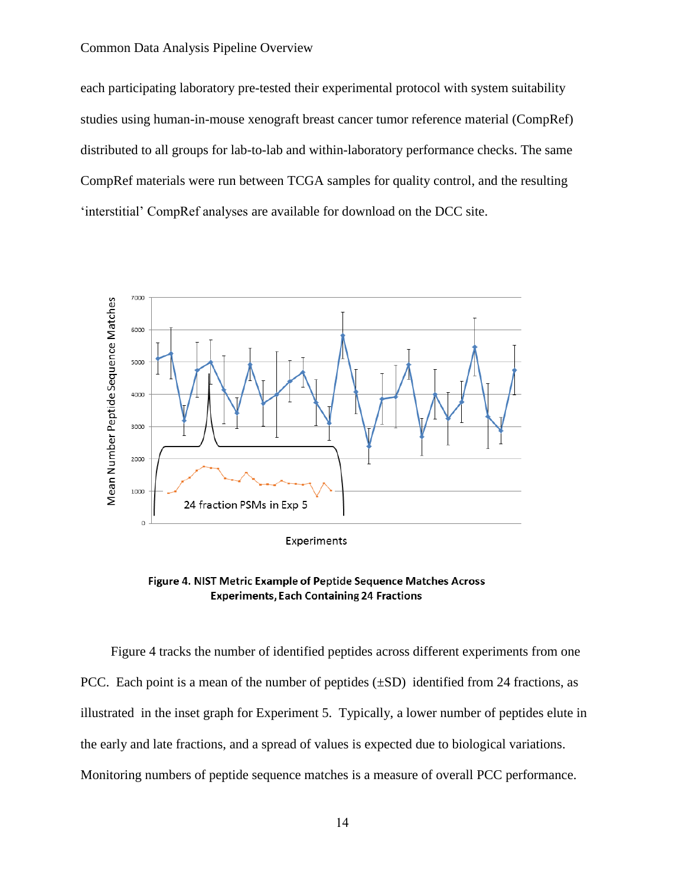each participating laboratory pre-tested their experimental protocol with system suitability studies using human-in-mouse xenograft breast cancer tumor reference material (CompRef) distributed to all groups for lab-to-lab and within-laboratory performance checks. The same CompRef materials were run between TCGA samples for quality control, and the resulting 'interstitial' CompRef analyses are available for download on the DCC site.



Figure 4. NIST Metric Example of Peptide Sequence Matches Across **Experiments, Each Containing 24 Fractions** 

Figure 4 tracks the number of identified peptides across different experiments from one PCC. Each point is a mean of the number of peptides  $(\pm SD)$  identified from 24 fractions, as illustrated in the inset graph for Experiment 5. Typically, a lower number of peptides elute in the early and late fractions, and a spread of values is expected due to biological variations. Monitoring numbers of peptide sequence matches is a measure of overall PCC performance.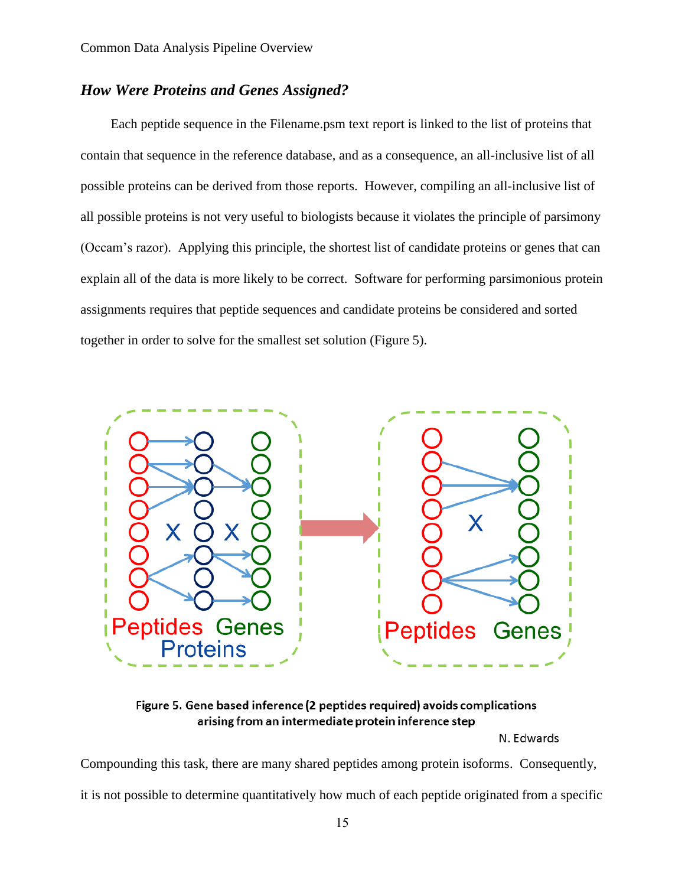# *How Were Proteins and Genes Assigned?*

Each peptide sequence in the Filename.psm text report is linked to the list of proteins that contain that sequence in the reference database, and as a consequence, an all-inclusive list of all possible proteins can be derived from those reports. However, compiling an all-inclusive list of all possible proteins is not very useful to biologists because it violates the principle of parsimony (Occam's razor). Applying this principle, the shortest list of candidate proteins or genes that can explain all of the data is more likely to be correct. Software for performing parsimonious protein assignments requires that peptide sequences and candidate proteins be considered and sorted together in order to solve for the smallest set solution (Figure 5).



Figure 5. Gene based inference (2 peptides required) avoids complications arising from an intermediate protein inference step

N. Edwards

Compounding this task, there are many shared peptides among protein isoforms. Consequently,

it is not possible to determine quantitatively how much of each peptide originated from a specific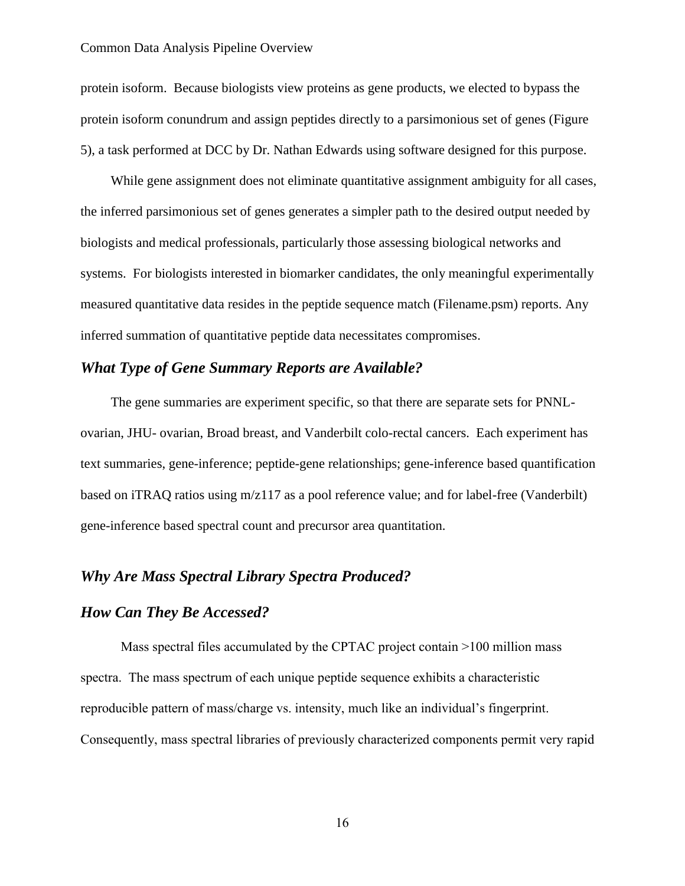protein isoform. Because biologists view proteins as gene products, we elected to bypass the protein isoform conundrum and assign peptides directly to a parsimonious set of genes (Figure 5), a task performed at DCC by Dr. Nathan Edwards using software designed for this purpose.

While gene assignment does not eliminate quantitative assignment ambiguity for all cases, the inferred parsimonious set of genes generates a simpler path to the desired output needed by biologists and medical professionals, particularly those assessing biological networks and systems. For biologists interested in biomarker candidates, the only meaningful experimentally measured quantitative data resides in the peptide sequence match (Filename.psm) reports. Any inferred summation of quantitative peptide data necessitates compromises.

# *What Type of Gene Summary Reports are Available?*

The gene summaries are experiment specific, so that there are separate sets for PNNLovarian, JHU- ovarian, Broad breast, and Vanderbilt colo-rectal cancers. Each experiment has text summaries, gene-inference; peptide-gene relationships; gene-inference based quantification based on iTRAQ ratios using m/z117 as a pool reference value; and for label-free (Vanderbilt) gene-inference based spectral count and precursor area quantitation.

# *Why Are Mass Spectral Library Spectra Produced?*

## *How Can They Be Accessed?*

Mass spectral files accumulated by the CPTAC project contain >100 million mass spectra. The mass spectrum of each unique peptide sequence exhibits a characteristic reproducible pattern of mass/charge vs. intensity, much like an individual's fingerprint. Consequently, mass spectral libraries of previously characterized components permit very rapid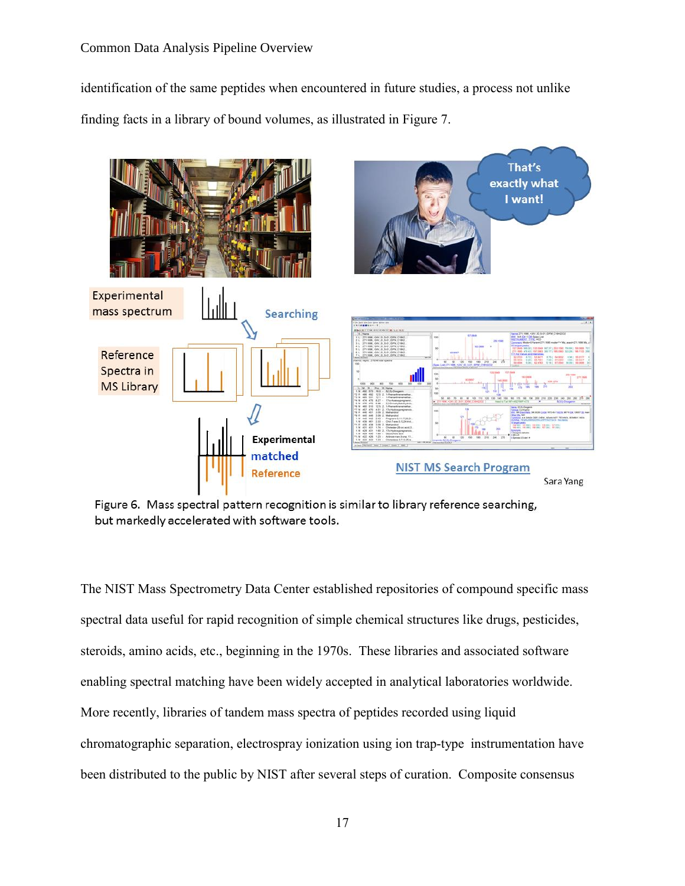identification of the same peptides when encountered in future studies, a process not unlike finding facts in a library of bound volumes, as illustrated in Figure 7.



Figure 6. Mass spectral pattern recognition is similar to library reference searching, but markedly accelerated with software tools.

The NIST Mass Spectrometry Data Center established repositories of compound specific mass spectral data useful for rapid recognition of simple chemical structures like drugs, pesticides, steroids, amino acids, etc., beginning in the 1970s. These libraries and associated software enabling spectral matching have been widely accepted in analytical laboratories worldwide. More recently, libraries of tandem mass spectra of peptides recorded using liquid chromatographic separation, electrospray ionization using ion trap-type instrumentation have been distributed to the public by NIST after several steps of curation. Composite consensus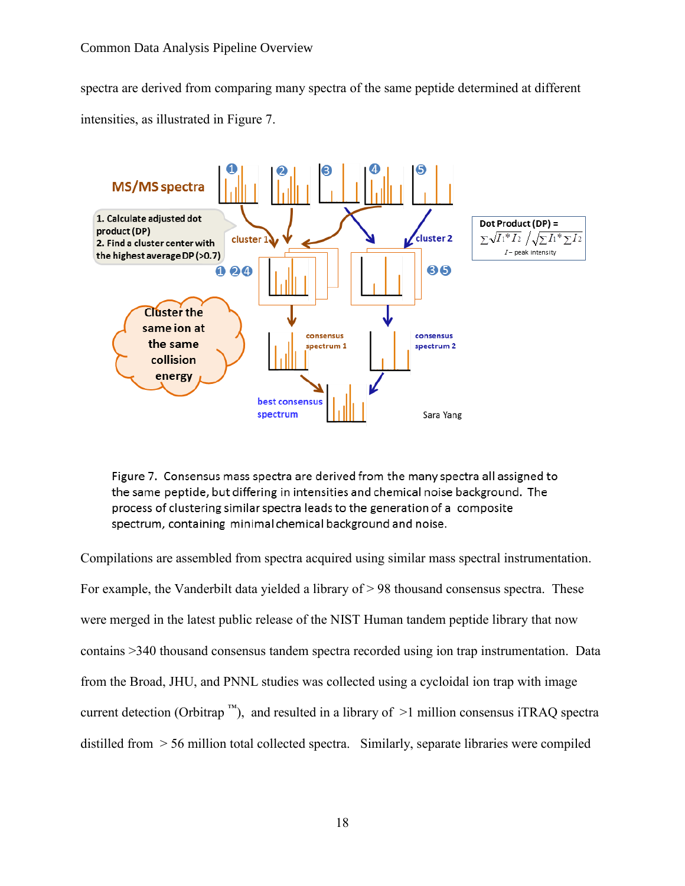spectra are derived from comparing many spectra of the same peptide determined at different intensities, as illustrated in Figure 7.



Figure 7. Consensus mass spectra are derived from the many spectra all assigned to the same peptide, but differing in intensities and chemical noise background. The process of clustering similar spectra leads to the generation of a composite spectrum, containing minimal chemical background and noise.

Compilations are assembled from spectra acquired using similar mass spectral instrumentation. For example, the Vanderbilt data yielded a library of  $> 98$  thousand consensus spectra. These were merged in the latest public release of the NIST Human tandem peptide library that now contains >340 thousand consensus tandem spectra recorded using ion trap instrumentation. Data from the Broad, JHU, and PNNL studies was collected using a cycloidal ion trap with image current detection (Orbitrap<sup>™</sup>), and resulted in a library of  $\geq 1$  million consensus iTRAQ spectra distilled from > 56 million total collected spectra. Similarly, separate libraries were compiled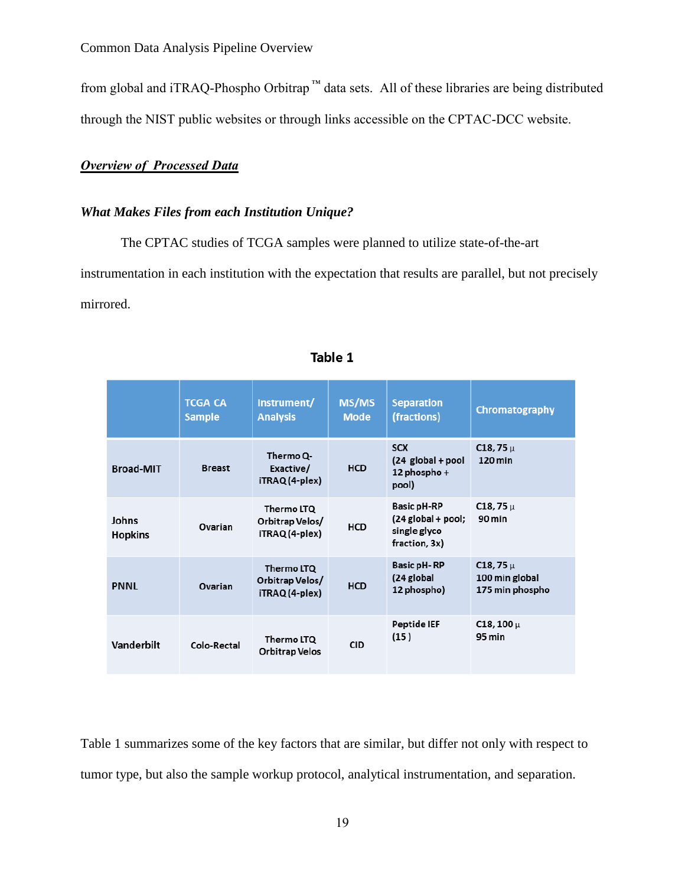from global and iTRAQ-Phospho Orbitrap ™ data sets. All of these libraries are being distributed through the NIST public websites or through links accessible on the CPTAC-DCC website.

## *Overview of Processed Data*

## *What Makes Files from each Institution Unique?*

The CPTAC studies of TCGA samples were planned to utilize state-of-the-art instrumentation in each institution with the expectation that results are parallel, but not precisely mirrored.

|                         | <b>TCGA CA</b><br><b>Sample</b> | Instrument/<br><b>Analysis</b>                  | MS/MS<br>Mode | <b>Separation</b><br>(fractions)                                            | Chromatography                                    |
|-------------------------|---------------------------------|-------------------------------------------------|---------------|-----------------------------------------------------------------------------|---------------------------------------------------|
| <b>Broad-MIT</b>        | <b>Breast</b>                   | Thermo Q-<br>Exactive/<br>iTRAQ (4-plex)        | <b>HCD</b>    | <b>SCX</b><br>$(24$ global + pool<br>12 phospho $+$<br>pool)                | $C18,75 \mu$<br>120 min                           |
| Johns<br><b>Hopkins</b> | Ovarian                         | Thermo LTQ<br>Orbitrap Velos/<br>iTRAQ (4-plex) | <b>HCD</b>    | <b>Basic pH-RP</b><br>$(24$ global + pool;<br>single glyco<br>fraction, 3x) | C <sub>18</sub> , 75 $\mu$<br>90 min              |
| <b>PNNL</b>             | Ovarian                         | Thermo LTQ<br>Orbitrap Velos/<br>iTRAQ (4-plex) | <b>HCD</b>    | <b>Basic pH-RP</b><br>(24 global<br>12 phospho)                             | $C18,75 \mu$<br>100 min global<br>175 min phospho |
| <b>Vanderbilt</b>       | Colo-Rectal                     | Thermo LTQ<br><b>Orbitrap Velos</b>             | <b>CID</b>    | Peptide IEF<br>(15)                                                         | $C18, 100 \,\mu$<br>95 min                        |

#### Table 1

Table 1 summarizes some of the key factors that are similar, but differ not only with respect to tumor type, but also the sample workup protocol, analytical instrumentation, and separation.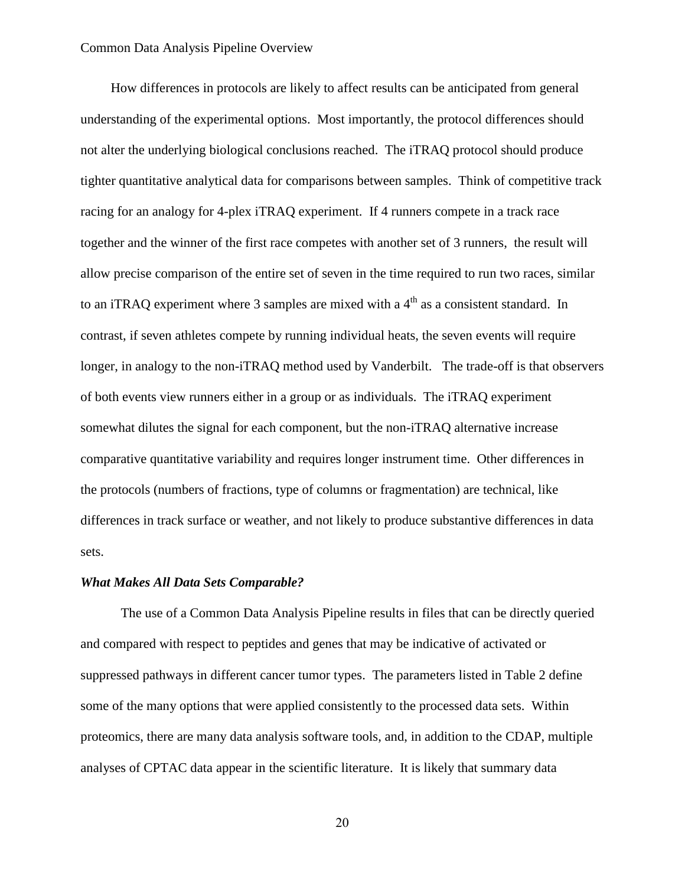How differences in protocols are likely to affect results can be anticipated from general understanding of the experimental options. Most importantly, the protocol differences should not alter the underlying biological conclusions reached. The iTRAQ protocol should produce tighter quantitative analytical data for comparisons between samples. Think of competitive track racing for an analogy for 4-plex iTRAQ experiment. If 4 runners compete in a track race together and the winner of the first race competes with another set of 3 runners, the result will allow precise comparison of the entire set of seven in the time required to run two races, similar to an iTRAQ experiment where 3 samples are mixed with a  $4<sup>th</sup>$  as a consistent standard. In contrast, if seven athletes compete by running individual heats, the seven events will require longer, in analogy to the non-iTRAQ method used by Vanderbilt. The trade-off is that observers of both events view runners either in a group or as individuals. The iTRAQ experiment somewhat dilutes the signal for each component, but the non-iTRAQ alternative increase comparative quantitative variability and requires longer instrument time. Other differences in the protocols (numbers of fractions, type of columns or fragmentation) are technical, like differences in track surface or weather, and not likely to produce substantive differences in data sets.

#### *What Makes All Data Sets Comparable?*

The use of a Common Data Analysis Pipeline results in files that can be directly queried and compared with respect to peptides and genes that may be indicative of activated or suppressed pathways in different cancer tumor types. The parameters listed in Table 2 define some of the many options that were applied consistently to the processed data sets. Within proteomics, there are many data analysis software tools, and, in addition to the CDAP, multiple analyses of CPTAC data appear in the scientific literature. It is likely that summary data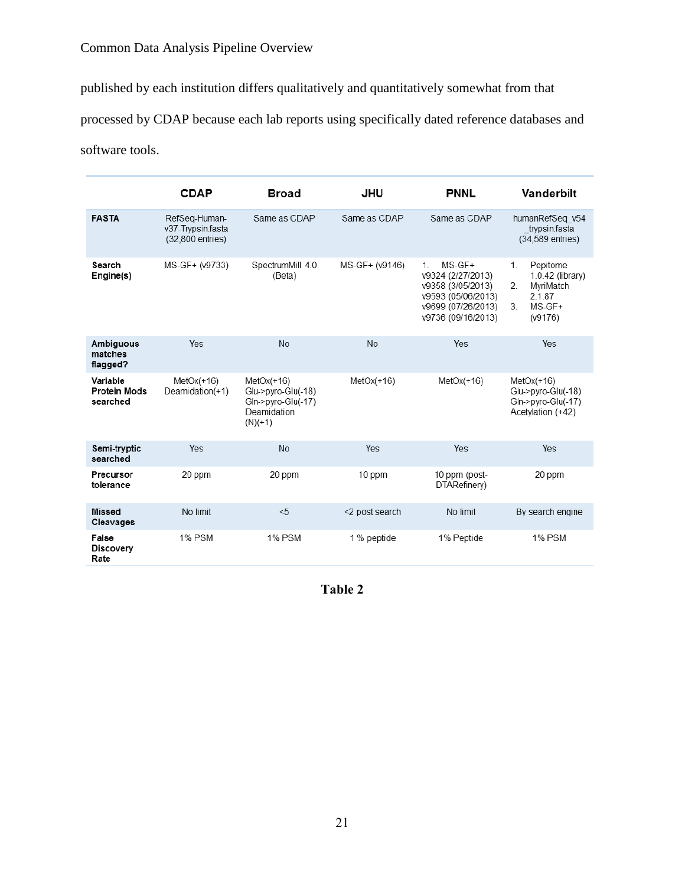published by each institution differs qualitatively and quantitatively somewhat from that

processed by CDAP because each lab reports using specifically dated reference databases and

software tools.

|                                             | <b>CDAP</b>                                            | <b>Broad</b>                                                                         | JHU            | <b>PNNL</b>                                                                                                                     | <b>Vanderbilt</b>                                                                               |
|---------------------------------------------|--------------------------------------------------------|--------------------------------------------------------------------------------------|----------------|---------------------------------------------------------------------------------------------------------------------------------|-------------------------------------------------------------------------------------------------|
| <b>FASTA</b>                                | RefSeq-Human-<br>v37-Trypsin.fasta<br>(32,800 entries) | Same as CDAP                                                                         | Same as CDAP   | Same as CDAP                                                                                                                    | humanRefSeg v54<br>trypsin.fasta<br>(34,589 entries)                                            |
| Search<br>Engine(s)                         | MS-GF+ (v9733)                                         | SpectrumMill 4.0<br>(Beta)                                                           | MS-GF+ (v9146) | $MS-GF+$<br>$1_{-}$<br>v9324 (2/27/2013)<br>v9358 (3/05/2013)<br>v9593 (05/06/2013)<br>v9699 (07/26/2013)<br>v9736 (09/16/2013) | $1_{-}$<br>Pepitome<br>1.0.42 (library)<br>2.<br>MvriMatch<br>2.1.87<br>3.<br>MS-GF+<br>(v9176) |
| <b>Ambiguous</b><br>matches<br>flagged?     | Yes                                                    | <b>No</b>                                                                            | <b>No</b>      | Yes                                                                                                                             | Yes                                                                                             |
| Variable<br><b>Protein Mods</b><br>searched | $MetOx(+16)$<br>Deamidation(+1)                        | $MetOx(+16)$<br>Glu->pyro-Glu(-18)<br>Gln->pyro-Glu(-17)<br>Deamidation<br>$(N)(+1)$ | $MetOx(+16)$   | $MetOx(+16)$                                                                                                                    | $MetOx(+16)$<br>Glu->pyro-Glu(-18)<br>Gln->pyro-Glu(-17)<br>Acetylation (+42)                   |
| Semi-tryptic<br>searched                    | Yes                                                    | <b>No</b>                                                                            | Yes            | Yes                                                                                                                             | Yes                                                                                             |
| Precursor<br>tolerance                      | 20 ppm                                                 | 20 ppm                                                                               | 10 ppm         | 10 ppm (post-<br>DTARefinery)                                                                                                   | 20 ppm                                                                                          |
| <b>Missed</b><br>Cleavages                  | No limit                                               | < 5                                                                                  | <2 post search | No limit                                                                                                                        | By search engine                                                                                |
| False<br>Discovery<br>Rate                  | <b>1% PSM</b>                                          | <b>1% PSM</b>                                                                        | 1 % peptide    | 1% Peptide                                                                                                                      | <b>1% PSM</b>                                                                                   |

**Table 2**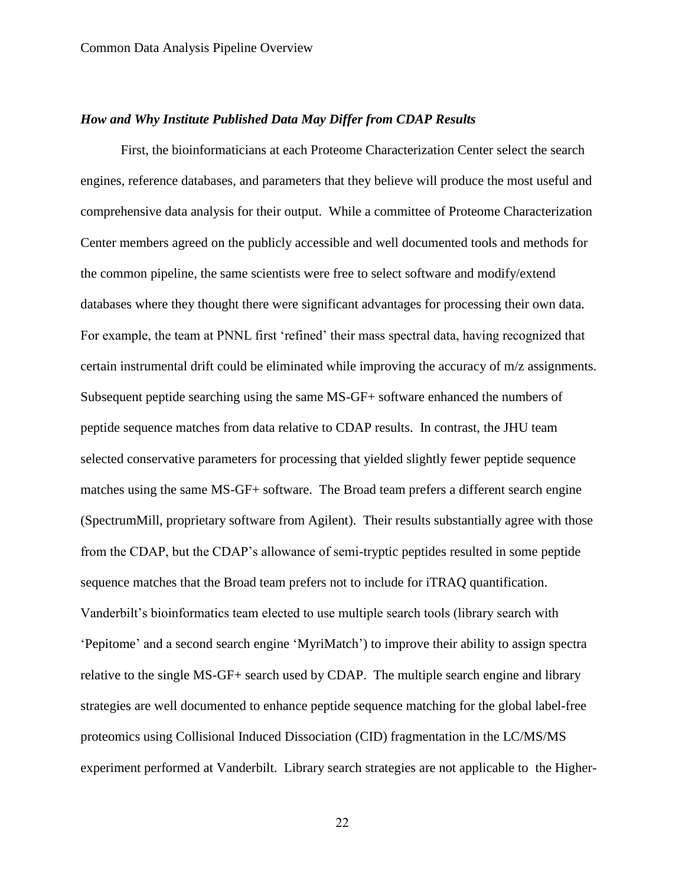## *How and Why Institute Published Data May Differ from CDAP Results*

First, the bioinformaticians at each Proteome Characterization Center select the search engines, reference databases, and parameters that they believe will produce the most useful and comprehensive data analysis for their output. While a committee of Proteome Characterization Center members agreed on the publicly accessible and well documented tools and methods for the common pipeline, the same scientists were free to select software and modify/extend databases where they thought there were significant advantages for processing their own data. For example, the team at PNNL first 'refined' their mass spectral data, having recognized that certain instrumental drift could be eliminated while improving the accuracy of m/z assignments. Subsequent peptide searching using the same MS-GF+ software enhanced the numbers of peptide sequence matches from data relative to CDAP results. In contrast, the JHU team selected conservative parameters for processing that yielded slightly fewer peptide sequence matches using the same MS-GF+ software. The Broad team prefers a different search engine (SpectrumMill, proprietary software from Agilent). Their results substantially agree with those from the CDAP, but the CDAP's allowance of semi-tryptic peptides resulted in some peptide sequence matches that the Broad team prefers not to include for iTRAQ quantification. Vanderbilt's bioinformatics team elected to use multiple search tools (library search with 'Pepitome' and a second search engine 'MyriMatch') to improve their ability to assign spectra relative to the single MS-GF+ search used by CDAP. The multiple search engine and library strategies are well documented to enhance peptide sequence matching for the global label-free proteomics using Collisional Induced Dissociation (CID) fragmentation in the LC/MS/MS experiment performed at Vanderbilt. Library search strategies are not applicable to the Higher-